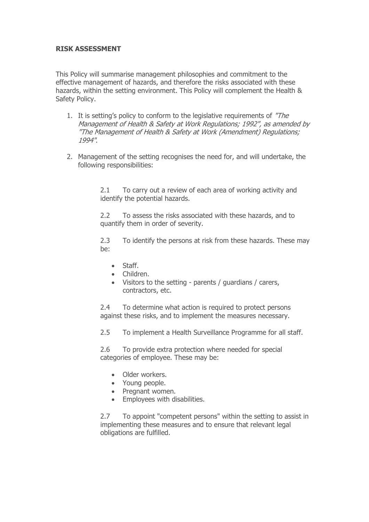## **RISK ASSESSMENT**

This Policy will summarise management philosophies and commitment to the effective management of hazards, and therefore the risks associated with these hazards, within the setting environment. This Policy will complement the Health & Safety Policy.

- 1. It is setting's policy to conform to the legislative requirements of "The Management of Health & Safety at Work Regulations; 1992", as amended by "The Management of Health & Safety at Work (Amendment) Regulations; 1994".
- 2. Management of the setting recognises the need for, and will undertake, the following responsibilities:

2.1 To carry out a review of each area of working activity and identify the potential hazards.

2.2 To assess the risks associated with these hazards, and to quantify them in order of severity.

2.3 To identify the persons at risk from these hazards. These may be:

- Staff.
- Children.
- Visitors to the setting parents / guardians / carers, contractors, etc.

2.4 To determine what action is required to protect persons against these risks, and to implement the measures necessary.

2.5 To implement a Health Surveillance Programme for all staff.

2.6 To provide extra protection where needed for special categories of employee. These may be:

- Older workers.
- Young people.
- Pregnant women.
- Employees with disabilities.

2.7 To appoint "competent persons" within the setting to assist in implementing these measures and to ensure that relevant legal obligations are fulfilled.